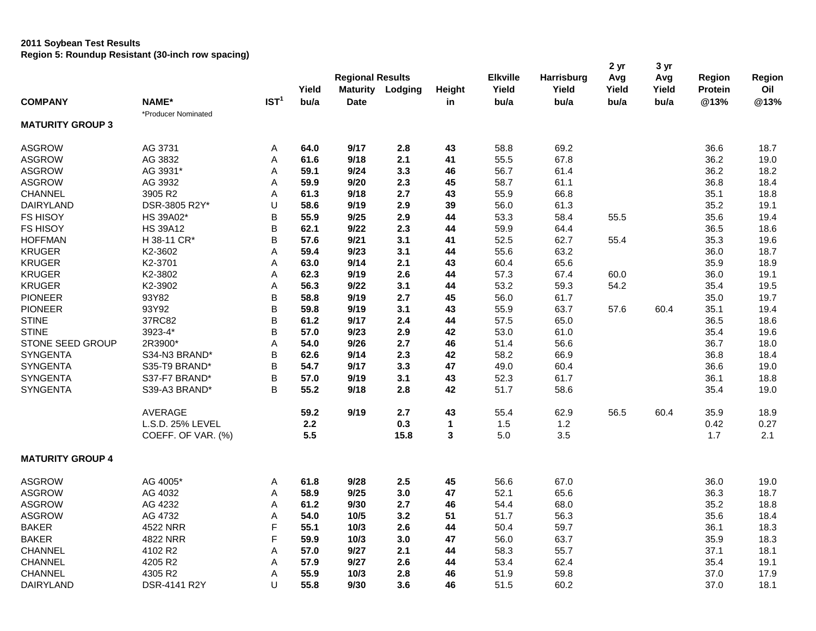## **2011 Soybean Test Results Region 5: Roundup Resistant (30-inch row spacing)**

|                         |                     |                  | Yield | <b>Regional Results</b> | <b>Maturity Lodging</b> | Height       | <b>Elkville</b><br>Yield | Harrisburg<br>Yield | 2 <sub>yr</sub><br>Avg<br>Yield | 3 yr<br>Avg<br>Yield | Region<br>Protein | Region<br>Oil |
|-------------------------|---------------------|------------------|-------|-------------------------|-------------------------|--------------|--------------------------|---------------------|---------------------------------|----------------------|-------------------|---------------|
| <b>COMPANY</b>          | NAME*               | IST <sup>1</sup> | bu/a  | <b>Date</b>             |                         | in           | bu/a                     | bu/a                | bu/a                            | bu/a                 | @13%              | @13%          |
|                         | *Producer Nominated |                  |       |                         |                         |              |                          |                     |                                 |                      |                   |               |
| <b>MATURITY GROUP 3</b> |                     |                  |       |                         |                         |              |                          |                     |                                 |                      |                   |               |
| <b>ASGROW</b>           | AG 3731             | Α                | 64.0  | 9/17                    | 2.8                     | 43           | 58.8                     | 69.2                |                                 |                      | 36.6              | 18.7          |
| <b>ASGROW</b>           | AG 3832             | Α                | 61.6  | 9/18                    | 2.1                     | 41           | 55.5                     | 67.8                |                                 |                      | 36.2              | 19.0          |
| <b>ASGROW</b>           | AG 3931*            | A                | 59.1  | 9/24                    | 3.3                     | 46           | 56.7                     | 61.4                |                                 |                      | 36.2              | 18.2          |
| <b>ASGROW</b>           | AG 3932             | Α                | 59.9  | 9/20                    | 2.3                     | 45           | 58.7                     | 61.1                |                                 |                      | 36.8              | 18.4          |
| CHANNEL                 | 3905 R2             | Α                | 61.3  | 9/18                    | 2.7                     | 43           | 55.9                     | 66.8                |                                 |                      | 35.1              | 18.8          |
| DAIRYLAND               | DSR-3805 R2Y*       | U                | 58.6  | 9/19                    | 2.9                     | 39           | 56.0                     | 61.3                |                                 |                      | 35.2              | 19.1          |
| <b>FS HISOY</b>         | HS 39A02*           | B                | 55.9  | 9/25                    | 2.9                     | 44           | 53.3                     | 58.4                | 55.5                            |                      | 35.6              | 19.4          |
| <b>FS HISOY</b>         | <b>HS 39A12</b>     | B                | 62.1  | 9/22                    | 2.3                     | 44           | 59.9                     | 64.4                |                                 |                      | 36.5              | 18.6          |
| <b>HOFFMAN</b>          | H 38-11 CR*         | В                | 57.6  | 9/21                    | 3.1                     | 41           | 52.5                     | 62.7                | 55.4                            |                      | 35.3              | 19.6          |
| <b>KRUGER</b>           | K2-3602             | A                | 59.4  | 9/23                    | 3.1                     | 44           | 55.6                     | 63.2                |                                 |                      | 36.0              | 18.7          |
| <b>KRUGER</b>           | K2-3701             | A                | 63.0  | 9/14                    | 2.1                     | 43           | 60.4                     | 65.6                |                                 |                      | 35.9              | 18.9          |
| <b>KRUGER</b>           | K2-3802             | Α                | 62.3  | 9/19                    | 2.6                     | 44           | 57.3                     | 67.4                | 60.0                            |                      | 36.0              | 19.1          |
| <b>KRUGER</b>           | K2-3902             | Α                | 56.3  | 9/22                    | 3.1                     | 44           | 53.2                     | 59.3                | 54.2                            |                      | 35.4              | 19.5          |
| <b>PIONEER</b>          | 93Y82               | B                | 58.8  | 9/19                    | 2.7                     | 45           | 56.0                     | 61.7                |                                 |                      | 35.0              | 19.7          |
| <b>PIONEER</b>          | 93Y92               | B                | 59.8  | 9/19                    | 3.1                     | 43           | 55.9                     | 63.7                | 57.6                            | 60.4                 | 35.1              | 19.4          |
| <b>STINE</b>            | 37RC82              | B                | 61.2  | 9/17                    | 2.4                     | 44           | 57.5                     | 65.0                |                                 |                      | 36.5              | 18.6          |
| <b>STINE</b>            | 3923-4*             | B                | 57.0  | 9/23                    | 2.9                     | 42           | 53.0                     | 61.0                |                                 |                      | 35.4              | 19.6          |
| STONE SEED GROUP        | 2R3900*             | A                | 54.0  | 9/26                    | 2.7                     | 46           | 51.4                     | 56.6                |                                 |                      | 36.7              | 18.0          |
| <b>SYNGENTA</b>         | S34-N3 BRAND*       | B                | 62.6  | 9/14                    | 2.3                     | 42           | 58.2                     | 66.9                |                                 |                      | 36.8              | 18.4          |
| <b>SYNGENTA</b>         | S35-T9 BRAND*       | B                | 54.7  | 9/17                    | 3.3                     | 47           | 49.0                     | 60.4                |                                 |                      | 36.6              | 19.0          |
| <b>SYNGENTA</b>         | S37-F7 BRAND*       | B                | 57.0  | 9/19                    | 3.1                     | 43           | 52.3                     | 61.7                |                                 |                      | 36.1              | 18.8          |
| <b>SYNGENTA</b>         | S39-A3 BRAND*       | B                | 55.2  | 9/18                    | 2.8                     | 42           | 51.7                     | 58.6                |                                 |                      | 35.4              | 19.0          |
|                         |                     |                  |       |                         |                         |              |                          |                     |                                 |                      |                   |               |
|                         | AVERAGE             |                  | 59.2  | 9/19                    | 2.7                     | 43           | 55.4                     | 62.9                | 56.5                            | 60.4                 | 35.9              | 18.9          |
|                         | L.S.D. 25% LEVEL    |                  | 2.2   |                         | 0.3                     | 1            | 1.5                      | $1.2$               |                                 |                      | 0.42              | 0.27          |
|                         | COEFF. OF VAR. (%)  |                  | 5.5   |                         | 15.8                    | $\mathbf{3}$ | 5.0                      | 3.5                 |                                 |                      | 1.7               | 2.1           |
| <b>MATURITY GROUP 4</b> |                     |                  |       |                         |                         |              |                          |                     |                                 |                      |                   |               |
| <b>ASGROW</b>           | AG 4005*            | Α                | 61.8  | 9/28                    | 2.5                     | 45           | 56.6                     | 67.0                |                                 |                      | 36.0              | 19.0          |
| <b>ASGROW</b>           | AG 4032             | Α                | 58.9  | 9/25                    | 3.0                     | 47           | 52.1                     | 65.6                |                                 |                      | 36.3              | 18.7          |
| <b>ASGROW</b>           | AG 4232             | A                | 61.2  | 9/30                    | 2.7                     | 46           | 54.4                     | 68.0                |                                 |                      | 35.2              | 18.8          |
| <b>ASGROW</b>           | AG 4732             | Α                | 54.0  | 10/5                    | 3.2                     | 51           | 51.7                     | 56.3                |                                 |                      | 35.6              | 18.4          |
| <b>BAKER</b>            | 4522 NRR            | F                | 55.1  | 10/3                    | 2.6                     | 44           | 50.4                     | 59.7                |                                 |                      | 36.1              | 18.3          |
| <b>BAKER</b>            | 4822 NRR            | F                | 59.9  | 10/3                    | 3.0                     | 47           | 56.0                     | 63.7                |                                 |                      | 35.9              | 18.3          |
| CHANNEL                 | 4102 R2             | Α                | 57.0  | 9/27                    | 2.1                     | 44           | 58.3                     | 55.7                |                                 |                      | 37.1              | 18.1          |
| <b>CHANNEL</b>          | 4205 R2             | A                | 57.9  | 9/27                    | 2.6                     | 44           | 53.4                     | 62.4                |                                 |                      | 35.4              | 19.1          |
| CHANNEL                 | 4305 R2             | Α                | 55.9  | 10/3                    | 2.8                     | 46           | 51.9                     | 59.8                |                                 |                      | 37.0              | 17.9          |
| DAIRYLAND               | DSR-4141 R2Y        | U                | 55.8  | 9/30                    | 3.6                     | 46           | 51.5                     | 60.2                |                                 |                      | 37.0              | 18.1          |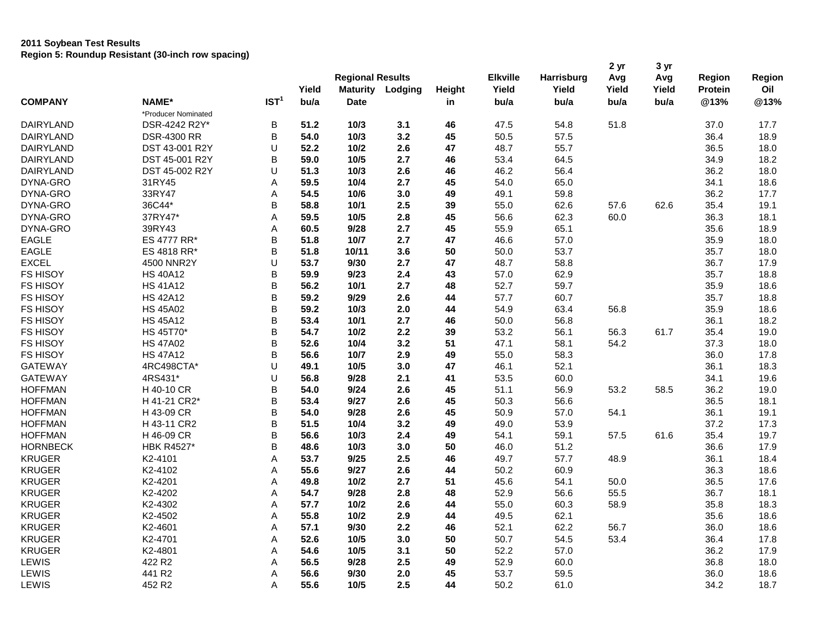## **2011 Soybean Test Results Region 5: Roundup Resistant (30-inch row spacing)**

|                  |                               |                  | Yield        | <b>Regional Results</b><br><b>Maturity</b> | Lodging | Height   | <b>Elkville</b><br>Yield | Harrisburg<br>Yield | 2 <sub>yr</sub><br>Avg<br>Yield | 3 yr<br>Avg<br>Yield | <b>Region</b><br><b>Protein</b> | Region<br>Oil |
|------------------|-------------------------------|------------------|--------------|--------------------------------------------|---------|----------|--------------------------|---------------------|---------------------------------|----------------------|---------------------------------|---------------|
| <b>COMPANY</b>   | NAME*                         | IST <sup>1</sup> | bu/a         | <b>Date</b>                                |         | in       | bu/a                     | bu/a                | bu/a                            | bu/a                 | @13%                            | @13%          |
|                  | *Producer Nominated           |                  |              |                                            |         |          |                          |                     |                                 |                      |                                 |               |
| <b>DAIRYLAND</b> | DSR-4242 R2Y*                 | B                | 51.2         | 10/3                                       | 3.1     | 46       | 47.5                     | 54.8                | 51.8                            |                      | 37.0                            | 17.7          |
| <b>DAIRYLAND</b> | <b>DSR-4300 RR</b>            | B                | 54.0         | 10/3                                       | 3.2     | 45       | 50.5                     | 57.5                |                                 |                      | 36.4                            | 18.9          |
| <b>DAIRYLAND</b> | DST 43-001 R2Y                | U                | 52.2         | 10/2                                       | 2.6     | 47       | 48.7                     | 55.7                |                                 |                      | 36.5                            | 18.0          |
| DAIRYLAND        | DST 45-001 R2Y                | B                | 59.0         | 10/5                                       | 2.7     | 46       | 53.4                     | 64.5                |                                 |                      | 34.9                            | 18.2          |
| DAIRYLAND        | DST 45-002 R2Y                | U                | 51.3         | 10/3                                       | 2.6     | 46       | 46.2                     | 56.4                |                                 |                      | 36.2                            | 18.0          |
| DYNA-GRO         | 31RY45                        | Α                | 59.5         | 10/4                                       | 2.7     | 45       | 54.0                     | 65.0                |                                 |                      | 34.1                            | 18.6          |
| DYNA-GRO         | 33RY47                        | Α                | 54.5         | 10/6                                       | 3.0     | 49       | 49.1                     | 59.8                |                                 |                      | 36.2                            | 17.7          |
| DYNA-GRO         | 36C44*                        | B                | 58.8         | 10/1                                       | 2.5     | 39       | 55.0                     | 62.6                | 57.6                            | 62.6                 | 35.4                            | 19.1          |
| DYNA-GRO         | 37RY47*                       | A                | 59.5         | 10/5                                       | 2.8     | 45       | 56.6                     | 62.3                | 60.0                            |                      | 36.3                            | 18.1          |
| DYNA-GRO         | 39RY43                        | Α                | 60.5         | 9/28                                       | 2.7     | 45       | 55.9                     | 65.1                |                                 |                      | 35.6                            | 18.9          |
| <b>EAGLE</b>     | ES 4777 RR*                   | B                | 51.8         | 10/7                                       | 2.7     | 47       | 46.6                     | 57.0                |                                 |                      | 35.9                            | 18.0          |
| <b>EAGLE</b>     | ES 4818 RR*                   | B                | 51.8         | 10/11                                      | 3.6     | 50       | 50.0                     | 53.7                |                                 |                      | 35.7                            | 18.0          |
| <b>EXCEL</b>     | 4500 NNR2Y                    | U                | 53.7         | 9/30                                       | 2.7     | 47       | 48.7                     | 58.8                |                                 |                      | 36.7                            | 17.9          |
| FS HISOY         | <b>HS 40A12</b>               | B                | 59.9         | 9/23                                       | 2.4     | 43       | 57.0                     | 62.9                |                                 |                      | 35.7                            | 18.8          |
| <b>FS HISOY</b>  | <b>HS 41A12</b>               | B                | 56.2         | 10/1                                       | 2.7     | 48       | 52.7                     | 59.7                |                                 |                      | 35.9                            | 18.6          |
| <b>FS HISOY</b>  | <b>HS 42A12</b>               | B                | 59.2         | 9/29                                       | 2.6     | 44       | 57.7                     | 60.7                |                                 |                      | 35.7                            | 18.8          |
| FS HISOY         | <b>HS 45A02</b>               | B                | 59.2         | 10/3                                       | 2.0     | 44       | 54.9                     | 63.4                | 56.8                            |                      | 35.9                            | 18.6          |
| FS HISOY         | <b>HS 45A12</b>               | B                | 53.4         | 10/1                                       | 2.7     | 46       | 50.0                     | 56.8                |                                 |                      | 36.1                            | 18.2          |
| FS HISOY         | HS 45T70*                     | B                | 54.7         | 10/2                                       | 2.2     | 39       | 53.2                     | 56.1                | 56.3                            | 61.7                 | 35.4                            | 19.0          |
| FS HISOY         | <b>HS 47A02</b>               | B                | 52.6         | 10/4                                       | 3.2     |          | 47.1                     | 58.1                | 54.2                            |                      | 37.3                            | 18.0          |
| <b>FS HISOY</b>  |                               | B                |              | 10/7                                       | 2.9     | 51       |                          |                     |                                 |                      |                                 |               |
| <b>GATEWAY</b>   | <b>HS 47A12</b><br>4RC498CTA* | U                | 56.6<br>49.1 | 10/5                                       | 3.0     | 49<br>47 | 55.0<br>46.1             | 58.3<br>52.1        |                                 |                      | 36.0<br>36.1                    | 17.8          |
| <b>GATEWAY</b>   | 4RS431*                       | U                | 56.8         | 9/28                                       | 2.1     |          | 53.5                     | 60.0                |                                 |                      | 34.1                            | 18.3<br>19.6  |
| <b>HOFFMAN</b>   | H 40-10 CR                    | B                | 54.0         | 9/24                                       | 2.6     | 41<br>45 | 51.1                     | 56.9                | 53.2                            | 58.5                 | 36.2                            | 19.0          |
| <b>HOFFMAN</b>   | H 41-21 CR2*                  | B                |              |                                            |         | 45       | 50.3                     | 56.6                |                                 |                      | 36.5                            |               |
| <b>HOFFMAN</b>   |                               | B                | 53.4         | 9/27<br>9/28                               | 2.6     |          | 50.9                     |                     |                                 |                      |                                 | 18.1          |
|                  | H 43-09 CR                    |                  | 54.0         |                                            | 2.6     | 45       |                          | 57.0                | 54.1                            |                      | 36.1                            | 19.1          |
| <b>HOFFMAN</b>   | H 43-11 CR2                   | B                | 51.5         | 10/4                                       | 3.2     | 49       | 49.0                     | 53.9                |                                 |                      | 37.2                            | 17.3          |
| <b>HOFFMAN</b>   | H 46-09 CR                    | B                | 56.6         | 10/3                                       | 2.4     | 49       | 54.1                     | 59.1                | 57.5                            | 61.6                 | 35.4                            | 19.7          |
| <b>HORNBECK</b>  | <b>HBK R4527*</b>             | B                | 48.6         | 10/3                                       | 3.0     | 50       | 46.0                     | 51.2                |                                 |                      | 36.6                            | 17.9          |
| <b>KRUGER</b>    | K <sub>2</sub> -4101          | A                | 53.7         | 9/25                                       | 2.5     | 46       | 49.7                     | 57.7                | 48.9                            |                      | 36.1                            | 18.4          |
| <b>KRUGER</b>    | K2-4102                       | Α                | 55.6         | 9/27                                       | 2.6     | 44       | 50.2                     | 60.9                |                                 |                      | 36.3                            | 18.6          |
| <b>KRUGER</b>    | K2-4201                       | Α                | 49.8         | 10/2                                       | 2.7     | 51       | 45.6                     | 54.1                | 50.0                            |                      | 36.5                            | 17.6          |
| <b>KRUGER</b>    | K2-4202                       | A                | 54.7         | 9/28                                       | 2.8     | 48       | 52.9                     | 56.6                | 55.5                            |                      | 36.7                            | 18.1          |
| <b>KRUGER</b>    | K2-4302                       | Α                | 57.7         | 10/2                                       | 2.6     | 44       | 55.0                     | 60.3                | 58.9                            |                      | 35.8                            | 18.3          |
| <b>KRUGER</b>    | K2-4502                       | A                | 55.8         | 10/2                                       | 2.9     | 44       | 49.5                     | 62.1                |                                 |                      | 35.6                            | 18.6          |
| <b>KRUGER</b>    | K2-4601                       | A                | 57.1         | 9/30                                       | 2.2     | 46       | 52.1                     | 62.2                | 56.7                            |                      | 36.0                            | 18.6          |
| <b>KRUGER</b>    | K2-4701                       | Α                | 52.6         | 10/5                                       | 3.0     | 50       | 50.7                     | 54.5                | 53.4                            |                      | 36.4                            | 17.8          |
| <b>KRUGER</b>    | K2-4801                       | Α                | 54.6         | 10/5                                       | 3.1     | 50       | 52.2                     | 57.0                |                                 |                      | 36.2                            | 17.9          |
| LEWIS            | 422 R2                        | Α                | 56.5         | 9/28                                       | 2.5     | 49       | 52.9                     | 60.0                |                                 |                      | 36.8                            | 18.0          |
| LEWIS            | 441 R2                        | A                | 56.6         | 9/30                                       | 2.0     | 45       | 53.7                     | 59.5                |                                 |                      | 36.0                            | 18.6          |
| LEWIS            | 452 R2                        | A                | 55.6         | 10/5                                       | 2.5     | 44       | 50.2                     | 61.0                |                                 |                      | 34.2                            | 18.7          |